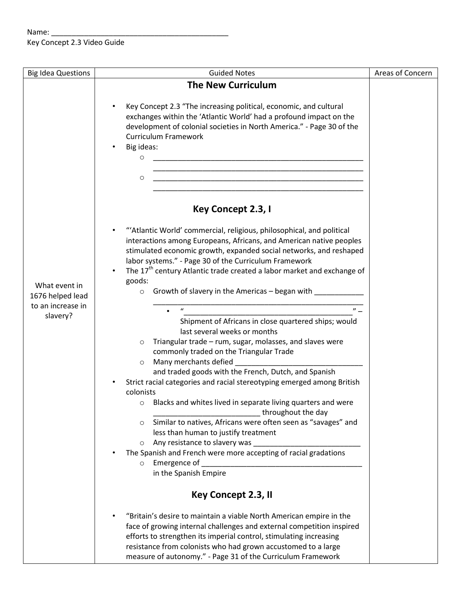## $Name: _$ Key Concept 2.3 Video Guide

| <b>Big Idea Questions</b> | <b>Guided Notes</b>                                                                                                                         | Areas of Concern |
|---------------------------|---------------------------------------------------------------------------------------------------------------------------------------------|------------------|
|                           | <b>The New Curriculum</b>                                                                                                                   |                  |
|                           |                                                                                                                                             |                  |
|                           | Key Concept 2.3 "The increasing political, economic, and cultural                                                                           |                  |
|                           | exchanges within the 'Atlantic World' had a profound impact on the                                                                          |                  |
|                           | development of colonial societies in North America." - Page 30 of the                                                                       |                  |
|                           | <b>Curriculum Framework</b>                                                                                                                 |                  |
|                           | Big ideas:                                                                                                                                  |                  |
|                           | O                                                                                                                                           |                  |
|                           | <u> 1989 - Johann John Stone, mars and de final de la provincia de la provincia de la provincia de la provincia d</u>                       |                  |
|                           | O<br><u> 1999 - Johann John Harry Harry Harry Harry Harry Harry Harry Harry Harry Harry Harry Harry Harry Harry Harry H</u>                 |                  |
|                           |                                                                                                                                             |                  |
|                           | Key Concept 2.3, I                                                                                                                          |                  |
|                           |                                                                                                                                             |                  |
|                           | "'Atlantic World' commercial, religious, philosophical, and political                                                                       |                  |
|                           | interactions among Europeans, Africans, and American native peoples                                                                         |                  |
|                           | stimulated economic growth, expanded social networks, and reshaped                                                                          |                  |
|                           | labor systems." - Page 30 of the Curriculum Framework                                                                                       |                  |
|                           | The 17 <sup>th</sup> century Atlantic trade created a labor market and exchange of                                                          |                  |
| What event in             | goods:                                                                                                                                      |                  |
| 1676 helped lead          | $\circ$ Growth of slavery in the Americas – began with                                                                                      |                  |
| to an increase in         | $^{\prime\prime}$ –<br>$\boldsymbol{u}$                                                                                                     |                  |
| slavery?                  | Shipment of Africans in close quartered ships; would                                                                                        |                  |
|                           | last several weeks or months                                                                                                                |                  |
|                           | Triangular trade - rum, sugar, molasses, and slaves were<br>$\circ$                                                                         |                  |
|                           | commonly traded on the Triangular Trade                                                                                                     |                  |
|                           | Many merchants defied<br>$\circ$                                                                                                            |                  |
|                           | and traded goods with the French, Dutch, and Spanish                                                                                        |                  |
|                           | Strict racial categories and racial stereotyping emerged among British                                                                      |                  |
|                           | colonists                                                                                                                                   |                  |
|                           | o Blacks and whites lived in separate living quarters and were                                                                              |                  |
|                           | throughout the day                                                                                                                          |                  |
|                           | Similar to natives, Africans were often seen as "savages" and<br>$\circ$                                                                    |                  |
|                           | less than human to justify treatment                                                                                                        |                  |
|                           | Any resistance to slavery was<br>$\circ$                                                                                                    |                  |
|                           | The Spanish and French were more accepting of racial gradations                                                                             |                  |
|                           | Emergence of<br>$\circ$                                                                                                                     |                  |
|                           | in the Spanish Empire                                                                                                                       |                  |
|                           | Key Concept 2.3, II                                                                                                                         |                  |
|                           |                                                                                                                                             |                  |
|                           | "Britain's desire to maintain a viable North American empire in the                                                                         |                  |
|                           | face of growing internal challenges and external competition inspired<br>efforts to strengthen its imperial control, stimulating increasing |                  |
|                           | resistance from colonists who had grown accustomed to a large                                                                               |                  |
|                           | measure of autonomy." - Page 31 of the Curriculum Framework                                                                                 |                  |
|                           |                                                                                                                                             |                  |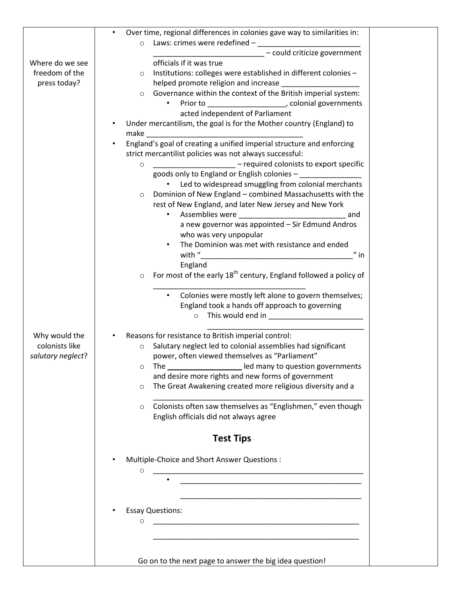|                   | Over time, regional differences in colonies gave way to similarities in:                                                                                                                                                       |  |
|-------------------|--------------------------------------------------------------------------------------------------------------------------------------------------------------------------------------------------------------------------------|--|
|                   | Laws: crimes were redefined -<br>$\circ$                                                                                                                                                                                       |  |
|                   | - could criticize government                                                                                                                                                                                                   |  |
| Where do we see   | officials if it was true                                                                                                                                                                                                       |  |
| freedom of the    | Institutions: colleges were established in different colonies -<br>$\circ$                                                                                                                                                     |  |
| press today?      |                                                                                                                                                                                                                                |  |
|                   | Governance within the context of the British imperial system:<br>$\circ$                                                                                                                                                       |  |
|                   | Prior to _______________________, colonial governments                                                                                                                                                                         |  |
|                   | acted independent of Parliament<br>Under mercantilism, the goal is for the Mother country (England) to                                                                                                                         |  |
|                   | make the contract of the contract of the contract of the contract of the contract of the contract of the contract of the contract of the contract of the contract of the contract of the contract of the contract of the contr |  |
|                   | England's goal of creating a unified imperial structure and enforcing                                                                                                                                                          |  |
|                   | strict mercantilist policies was not always successful:                                                                                                                                                                        |  |
|                   | - required colonists to export specific<br><u> 1990 - Johann Barbara, martxa</u><br>$\circ$                                                                                                                                    |  |
|                   | goods only to England or English colonies -                                                                                                                                                                                    |  |
|                   | • Led to widespread smuggling from colonial merchants                                                                                                                                                                          |  |
|                   | Dominion of New England - combined Massachusetts with the<br>$\circ$                                                                                                                                                           |  |
|                   | rest of New England, and later New Jersey and New York                                                                                                                                                                         |  |
|                   | $\bullet$<br>and                                                                                                                                                                                                               |  |
|                   | a new governor was appointed - Sir Edmund Andros                                                                                                                                                                               |  |
|                   | who was very unpopular                                                                                                                                                                                                         |  |
|                   | The Dominion was met with resistance and ended<br>$\bullet$                                                                                                                                                                    |  |
|                   | $"$ in                                                                                                                                                                                                                         |  |
|                   | England<br>For most of the early 18 <sup>th</sup> century, England followed a policy of<br>O                                                                                                                                   |  |
|                   |                                                                                                                                                                                                                                |  |
|                   | Colonies were mostly left alone to govern themselves;<br>$\bullet$                                                                                                                                                             |  |
|                   | England took a hands off approach to governing                                                                                                                                                                                 |  |
|                   | $\circ$                                                                                                                                                                                                                        |  |
|                   |                                                                                                                                                                                                                                |  |
| Why would the     | Reasons for resistance to British imperial control:                                                                                                                                                                            |  |
| colonists like    | Salutary neglect led to colonial assemblies had significant<br>$\circ$                                                                                                                                                         |  |
| salutary neglect? | power, often viewed themselves as "Parliament"                                                                                                                                                                                 |  |
|                   | led many to question governments<br>The l<br>O                                                                                                                                                                                 |  |
|                   | and desire more rights and new forms of government                                                                                                                                                                             |  |
|                   | The Great Awakening created more religious diversity and a<br>$\circ$                                                                                                                                                          |  |
|                   | Colonists often saw themselves as "Englishmen," even though<br>$\circ$                                                                                                                                                         |  |
|                   | English officials did not always agree                                                                                                                                                                                         |  |
|                   |                                                                                                                                                                                                                                |  |
|                   | <b>Test Tips</b>                                                                                                                                                                                                               |  |
|                   |                                                                                                                                                                                                                                |  |
|                   | Multiple-Choice and Short Answer Questions :                                                                                                                                                                                   |  |
|                   | O                                                                                                                                                                                                                              |  |
|                   | <u> 1980 - Jan Barbara Barbara, maska kardinal (</u>                                                                                                                                                                           |  |
|                   |                                                                                                                                                                                                                                |  |
|                   |                                                                                                                                                                                                                                |  |
|                   | <b>Essay Questions:</b>                                                                                                                                                                                                        |  |
|                   | O                                                                                                                                                                                                                              |  |
|                   |                                                                                                                                                                                                                                |  |
|                   |                                                                                                                                                                                                                                |  |
|                   | Go on to the next page to answer the big idea question!                                                                                                                                                                        |  |
|                   |                                                                                                                                                                                                                                |  |